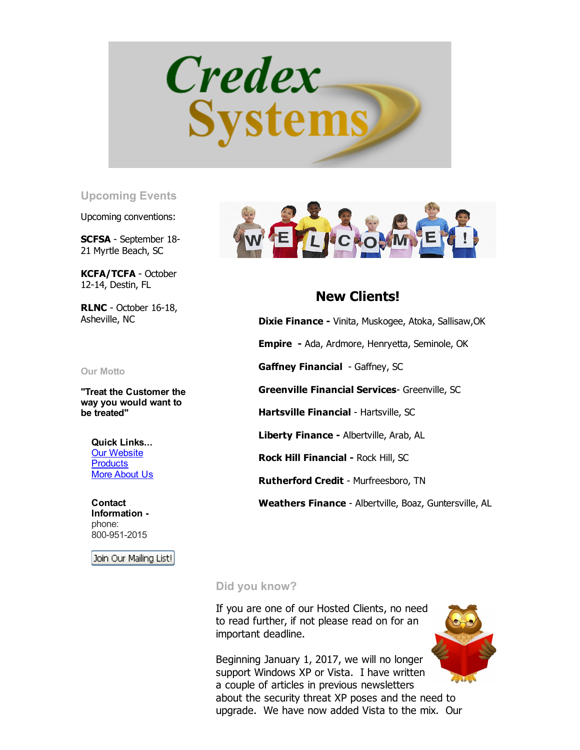

## Upcoming Events

Upcoming conventions:

SCFSA - September 18-21 Myrtle Beach, SC

KCFA/TCFA - October 12-14, Destin, FL

RLNC - October 16-18, Asheville, NC

## Our Motto

"Treat the Customer the way you would want to be treated"

Quick Links... Our [Website](http://www.credexsystems.com/) **[Products](http://www.credexsystems.com/products.php)** More [About](http://www.credexsystems.com/about-us.php) Us

**Contact** Information phone: 800-951-2015

Join Our Mailing List!



## New Clients!

Dixie Finance - Vinita, Muskogee, Atoka, Sallisaw, OK Empire - Ada, Ardmore, Henryetta, Seminole, OK Gaffney Financial - Gaffney, SC **Greenville Financial Services- Greenville, SC** Hartsville Financial - Hartsville, SC Liberty Finance - Albertville, Arab, AL Rock Hill Financial - Rock Hill, SC Rutherford Credit - Murfreesboro, TN Weathers Finance - Albertville, Boaz, Guntersville, AL

## Did you know?

If you are one of our Hosted Clients, no need to read further, if not please read on for an important deadline.

Beginning January 1, 2017, we will no longer support Windows XP or Vista. I have written a couple of articles in previous newsletters about the security threat XP poses and the need to upgrade. We have now added Vista to the mix. Our